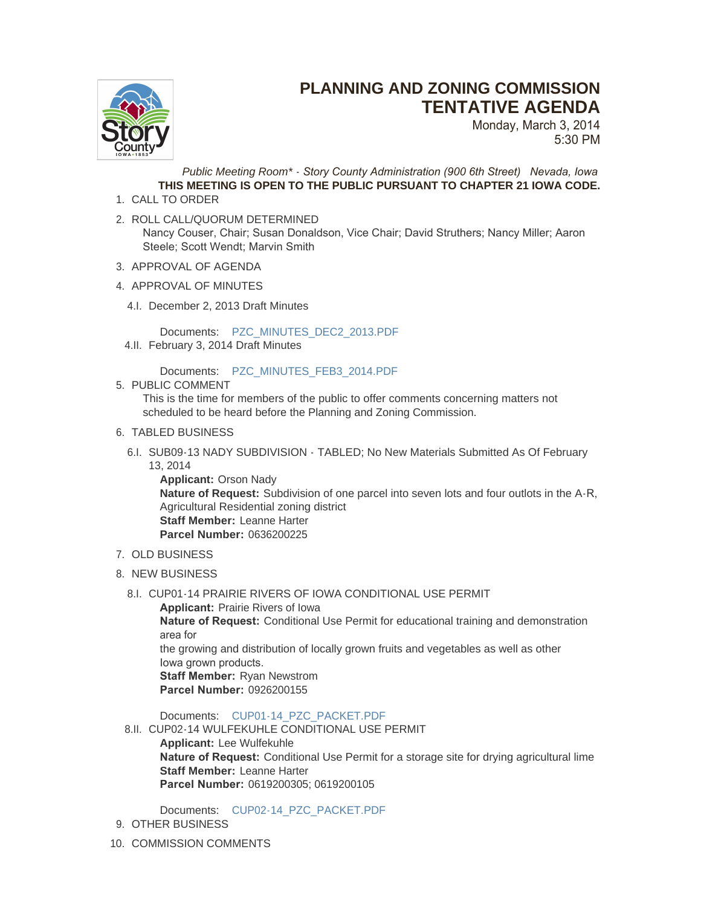

## **PLANNING AND ZONING COMMISSION TENTATIVE AGENDA**

Monday, March 3, 2014 5:30 PM

*Public Meeting Room\* - Story County Administration (900 6th Street) Nevada, Iowa* **THIS MEETING IS OPEN TO THE PUBLIC PURSUANT TO CHAPTER 21 IOWA CODE.**

- 1. CALL TO ORDER
- 2. ROLL CALL/QUORUM DETERMINED Nancy Couser, Chair; Susan Donaldson, Vice Chair; David Struthers; Nancy Miller; Aaron Steele; Scott Wendt; Marvin Smith
- 3. APPROVAL OF AGENDA
- 4. APPROVAL OF MINUTES
	- 4.I. December 2, 2013 Draft Minutes

Documents: [PZC\\_MINUTES\\_DEC2\\_2013.PDF](http://www.storycountyiowa.gov/AgendaCenter/ViewFile/Item/2927?fileID=2184)

4.II. February 3, 2014 Draft Minutes

Documents: [PZC\\_MINUTES\\_FEB3\\_2014.PDF](http://www.storycountyiowa.gov/AgendaCenter/ViewFile/Item/2918?fileID=2176)

5. PUBLIC COMMENT

This is the time for members of the public to offer comments concerning matters not scheduled to be heard before the Planning and Zoning Commission.

- 6. TABLED BUSINESS
- 6.I. SUB09-13 NADY SUBDIVISION TABLED; No New Materials Submitted As Of February 13, 2014

**Applicant:** Orson Nady **Nature of Request:** Subdivision of one parcel into seven lots and four outlots in the A-R, Agricultural Residential zoning district **Staff Member:** Leanne Harter **Parcel Number:** 0636200225

## 7. OLD BUSINESS

- 8. NEW BUSINESS
	- 8.I. CUP01-14 PRAIRIE RIVERS OF IOWA CONDITIONAL USE PERMIT

**Applicant:** Prairie Rivers of Iowa **Nature of Request:** Conditional Use Permit for educational training and demonstration area for the growing and distribution of locally grown fruits and vegetables as well as other Iowa grown products. **Staff Member:** Ryan Newstrom **Parcel Number:** 0926200155

Documents: [CUP01-14\\_PZC\\_PACKET.PDF](http://www.storycountyiowa.gov/AgendaCenter/ViewFile/Item/2887?fileID=2174)

8.II. CUP02-14 WULFEKUHLE CONDITIONAL USE PERMIT **Applicant:** Lee Wulfekuhle **Nature of Request:** Conditional Use Permit for a storage site for drying agricultural lime **Staff Member:** Leanne Harter **Parcel Number:** 0619200305; 0619200105

Documents: [CUP02-14\\_PZC\\_PACKET.PDF](http://www.storycountyiowa.gov/AgendaCenter/ViewFile/Item/2888?fileID=2175)

- 9. OTHER BUSINESS
- 10. COMMISSION COMMENTS